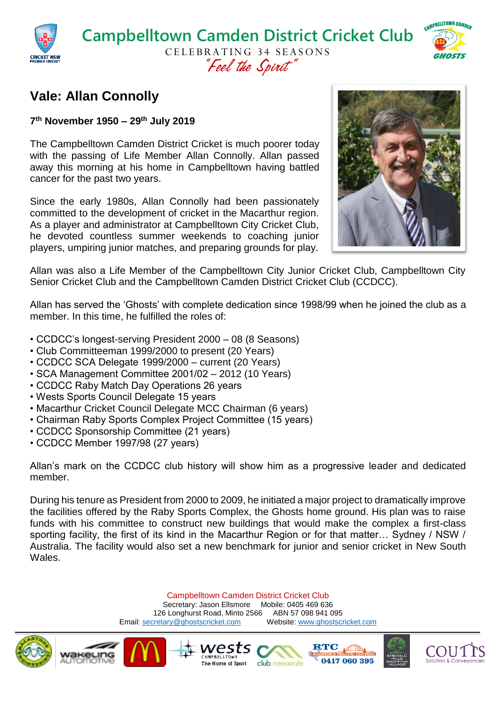

## **Vale: Allan Connolly**

**7 th November 1950 – 29th July 2019**

The Campbelltown Camden District Cricket is much poorer today with the passing of Life Member Allan Connolly. Allan passed away this morning at his home in Campbelltown having battled cancer for the past two years.

Since the early 1980s, Allan Connolly had been passionately committed to the development of cricket in the Macarthur region. As a player and administrator at Campbelltown City Cricket Club, he devoted countless summer weekends to coaching junior players, umpiring junior matches, and preparing grounds for play.



Allan was also a Life Member of the Campbelltown City Junior Cricket Club, Campbelltown City Senior Cricket Club and the Campbelltown Camden District Cricket Club (CCDCC).

Allan has served the 'Ghosts' with complete dedication since 1998/99 when he joined the club as a member. In this time, he fulfilled the roles of:

- CCDCC's longest-serving President 2000 08 (8 Seasons)
- Club Committeeman 1999/2000 to present (20 Years)
- CCDCC SCA Delegate 1999/2000 current (20 Years)
- SCA Management Committee 2001/02 2012 (10 Years)
- CCDCC Raby Match Day Operations 26 years
- Wests Sports Council Delegate 15 years
- Macarthur Cricket Council Delegate MCC Chairman (6 years)
- Chairman Raby Sports Complex Project Committee (15 years)
- CCDCC Sponsorship Committee (21 years)
- CCDCC Member 1997/98 (27 years)

Allan's mark on the CCDCC club history will show him as a progressive leader and dedicated member.

During his tenure as President from 2000 to 2009, he initiated a major project to dramatically improve the facilities offered by the Raby Sports Complex, the Ghosts home ground. His plan was to raise funds with his committee to construct new buildings that would make the complex a first-class sporting facility, the first of its kind in the Macarthur Region or for that matter… Sydney / NSW / Australia. The facility would also set a new benchmark for junior and senior cricket in New South Wales.

> Campbelltown Camden District Cricket Club Secretary: Jason Ellsmore Mobile: 0405 469 636 126 Longhurst Road, Minto 2566 ABN 57 098 941 095 Email[: secretary@ghostscricket.com](mailto:secretary@ghostscricket.com) Website[: www.ghostscricket.com](http://www.ghostscricket.com/)

> > club menangle

vest

The Home of Sport